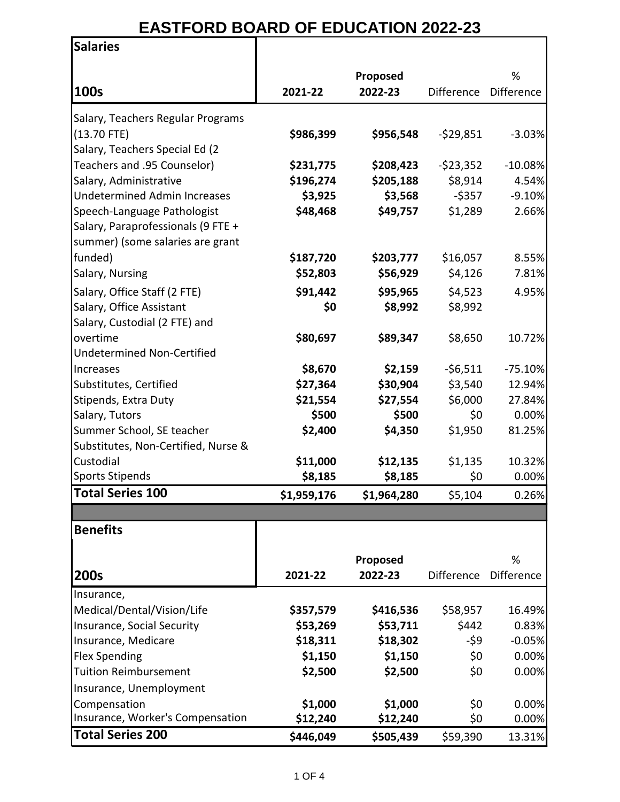## **EASTFORD BOARD OF EDUCATION 2022-23**

 $\overline{\mathbf{1}}$ 

| <b>Salaries</b>                                          |                      |                      |                   |                   |
|----------------------------------------------------------|----------------------|----------------------|-------------------|-------------------|
|                                                          |                      |                      |                   | %                 |
| 100s                                                     | 2021-22              | Proposed<br>2022-23  | <b>Difference</b> | <b>Difference</b> |
|                                                          |                      |                      |                   |                   |
| Salary, Teachers Regular Programs                        |                      |                      |                   |                   |
| $(13.70$ FTE)                                            | \$986,399            | \$956,548            | $-529,851$        | $-3.03%$          |
| Salary, Teachers Special Ed (2                           |                      |                      |                   |                   |
| Teachers and .95 Counselor)                              | \$231,775            | \$208,423            | $-$ \$23,352      | $-10.08%$         |
| Salary, Administrative                                   | \$196,274            | \$205,188            | \$8,914           | 4.54%             |
| <b>Undetermined Admin Increases</b>                      | \$3,925              | \$3,568              | $-$ \$357         | $-9.10%$          |
| Speech-Language Pathologist                              | \$48,468             | \$49,757             | \$1,289           | 2.66%             |
| Salary, Paraprofessionals (9 FTE +                       |                      |                      |                   |                   |
| summer) (some salaries are grant                         |                      |                      |                   |                   |
| funded)                                                  | \$187,720            | \$203,777            | \$16,057          | 8.55%             |
| Salary, Nursing                                          | \$52,803             | \$56,929             | \$4,126           | 7.81%             |
| Salary, Office Staff (2 FTE)                             | \$91,442             | \$95,965             | \$4,523           | 4.95%             |
| Salary, Office Assistant                                 | \$0                  | \$8,992              | \$8,992           |                   |
| Salary, Custodial (2 FTE) and                            |                      |                      |                   |                   |
| overtime                                                 | \$80,697             | \$89,347             | \$8,650           | 10.72%            |
| <b>Undetermined Non-Certified</b>                        |                      |                      |                   |                   |
| Increases                                                | \$8,670              | \$2,159              | $-56,511$         | $-75.10%$         |
| Substitutes, Certified                                   | \$27,364             | \$30,904             | \$3,540           | 12.94%            |
| Stipends, Extra Duty                                     | \$21,554             | \$27,554             | \$6,000           | 27.84%            |
| Salary, Tutors                                           | \$500                | \$500                | \$0               | 0.00%             |
| Summer School, SE teacher                                | \$2,400              | \$4,350              | \$1,950           | 81.25%            |
| Substitutes, Non-Certified, Nurse &                      |                      |                      |                   |                   |
| Custodial                                                | \$11,000             | \$12,135             | \$1,135           | 10.32%            |
| <b>Sports Stipends</b>                                   | \$8,185              | \$8,185              | \$0               | 0.00%             |
| Total Series 100                                         | \$1,959,176          | \$1,964,280          | \$5,104           | 0.26%             |
|                                                          |                      |                      |                   |                   |
| <b>Benefits</b>                                          |                      |                      |                   |                   |
|                                                          |                      | Proposed             |                   | %                 |
| 200s                                                     | 2021-22              | 2022-23              | <b>Difference</b> | Difference        |
|                                                          |                      |                      |                   |                   |
| Insurance,                                               |                      |                      |                   |                   |
| Medical/Dental/Vision/Life<br>Insurance, Social Security | \$357,579            | \$416,536            | \$58,957<br>\$442 | 16.49%<br>0.83%   |
| Insurance, Medicare                                      | \$53,269<br>\$18,311 | \$53,711<br>\$18,302 | -\$9              | $-0.05%$          |
| <b>Flex Spending</b>                                     | \$1,150              | \$1,150              | \$0               | 0.00%             |
| <b>Tuition Reimbursement</b>                             | \$2,500              | \$2,500              | \$0               | 0.00%             |
| Insurance, Unemployment                                  |                      |                      |                   |                   |
| Compensation                                             | \$1,000              | \$1,000              |                   | 0.00%             |
| Insurance, Worker's Compensation                         | \$12,240             | \$12,240             | \$0<br>\$0        | 0.00%             |
| <b>Total Series 200</b>                                  |                      |                      |                   |                   |
|                                                          | \$446,049            | \$505,439            | \$59,390          | 13.31%            |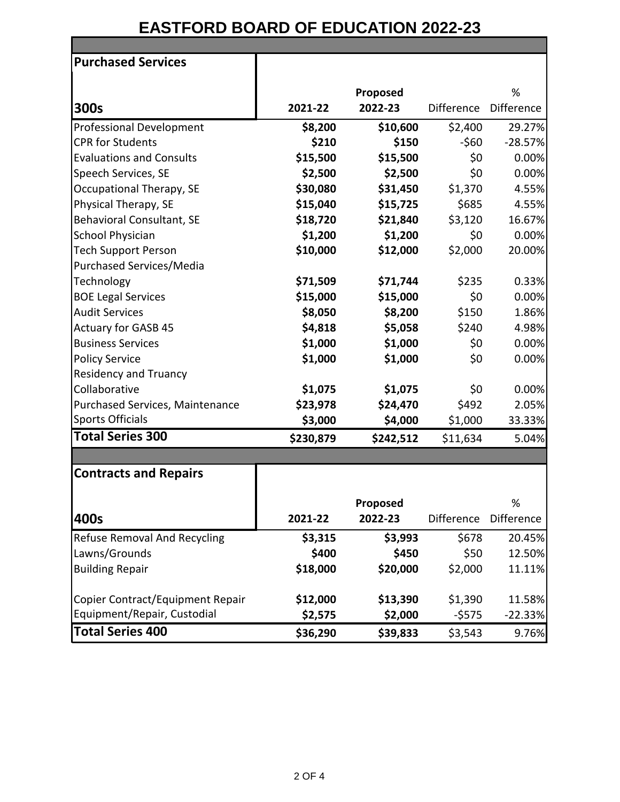## **EASTFORD BOARD OF EDUCATION 2022-23 Purchased Services Proposed**   $\mathsf{o}$

|                                  |           | <b>Proposed</b> |                   | ٥٧                |
|----------------------------------|-----------|-----------------|-------------------|-------------------|
| 300s                             | 2021-22   | 2022-23         | <b>Difference</b> | <b>Difference</b> |
| <b>Professional Development</b>  | \$8,200   | \$10,600        | \$2,400           | 29.27%            |
| <b>CPR for Students</b>          | \$210     | \$150           | $-560$            | $-28.57%$         |
| <b>Evaluations and Consults</b>  | \$15,500  | \$15,500        | \$0               | 0.00%             |
| Speech Services, SE              | \$2,500   | \$2,500         | \$0               | 0.00%             |
| Occupational Therapy, SE         | \$30,080  | \$31,450        | \$1,370           | 4.55%             |
| Physical Therapy, SE             | \$15,040  | \$15,725        | \$685             | 4.55%             |
| Behavioral Consultant, SE        | \$18,720  | \$21,840        | \$3,120           | 16.67%            |
| <b>School Physician</b>          | \$1,200   | \$1,200         | \$0               | 0.00%             |
| <b>Tech Support Person</b>       | \$10,000  | \$12,000        | \$2,000           | 20.00%            |
| <b>Purchased Services/Media</b>  |           |                 |                   |                   |
| Technology                       | \$71,509  | \$71,744        | \$235             | 0.33%             |
| <b>BOE Legal Services</b>        | \$15,000  | \$15,000        | \$0               | 0.00%             |
| <b>Audit Services</b>            | \$8,050   | \$8,200         | \$150             | 1.86%             |
| <b>Actuary for GASB 45</b>       | \$4,818   | \$5,058         | \$240             | 4.98%             |
| <b>Business Services</b>         | \$1,000   | \$1,000         | \$0               | 0.00%             |
| <b>Policy Service</b>            | \$1,000   | \$1,000         | \$0               | 0.00%             |
| <b>Residency and Truancy</b>     |           |                 |                   |                   |
| Collaborative                    | \$1,075   | \$1,075         | \$0               | 0.00%             |
| Purchased Services, Maintenance  | \$23,978  | \$24,470        | \$492             | 2.05%             |
| <b>Sports Officials</b>          | \$3,000   | \$4,000         | \$1,000           | 33.33%            |
| <b>Total Series 300</b>          | \$230,879 | \$242,512       | \$11,634          | 5.04%             |
| <b>Contracts and Repairs</b>     |           |                 |                   |                   |
|                                  |           |                 |                   |                   |
|                                  |           | Proposed        |                   | %                 |
| 400s                             | 2021-22   | 2022-23         | Difference        | Difference        |
| Refuse Removal And Recycling     | \$3,315   | \$3,993         | \$678             | 20.45%            |
| Lawns/Grounds                    | \$400     | \$450           | \$50              | 12.50%            |
| <b>Building Repair</b>           | \$18,000  | \$20,000        | \$2,000           | 11.11%            |
| Copier Contract/Equipment Repair | \$12,000  | \$13,390        | \$1,390           | 11.58%            |
| Equipment/Repair, Custodial      | \$2,575   | \$2,000         | -\$575            | $-22.33%$         |
| <b>Total Series 400</b>          | \$36,290  | \$39,833        | \$3,543           | 9.76%             |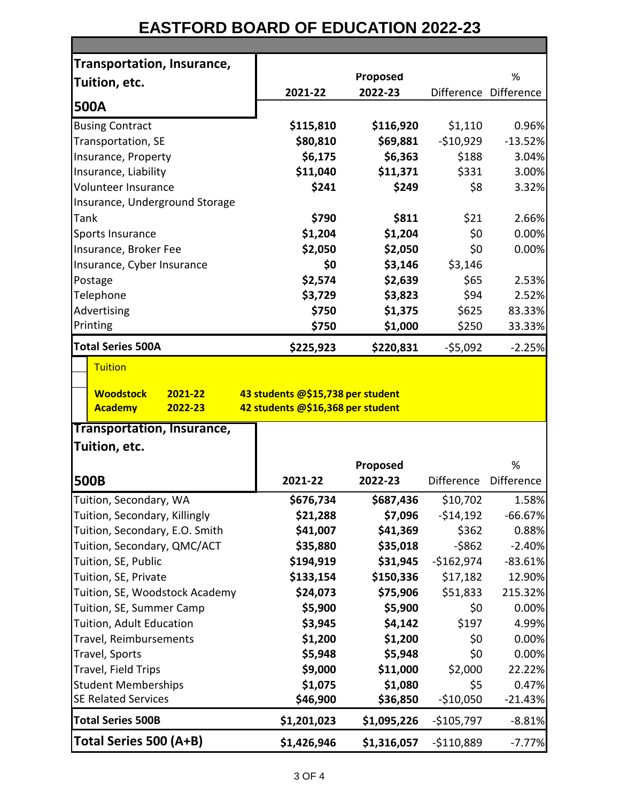## **EASTFORD BOARD OF EDUCATION 2022-23**

| <b>Transportation, Insurance,</b>                        |                                                                        |                     |                     |                                                                                                 |
|----------------------------------------------------------|------------------------------------------------------------------------|---------------------|---------------------|-------------------------------------------------------------------------------------------------|
| Tuition, etc.                                            |                                                                        | Proposed            |                     | %                                                                                               |
| 500A                                                     | 2021-22                                                                | 2022-23             |                     | Difference Difference                                                                           |
|                                                          |                                                                        |                     |                     |                                                                                                 |
| <b>Busing Contract</b>                                   | \$115,810                                                              | \$116,920           | \$1,110             | 0.96%                                                                                           |
| Transportation, SE<br>Insurance, Property                | \$80,810<br>\$6,175                                                    | \$69,881<br>\$6,363 | $-$10,929$<br>\$188 | $-13.52%$<br>3.04%                                                                              |
| Insurance, Liability                                     | \$11,040                                                               | \$11,371            | \$331               | 3.00%                                                                                           |
| <b>Volunteer Insurance</b>                               | \$241                                                                  | \$249               | \$8                 | 3.32%                                                                                           |
| Insurance, Underground Storage                           |                                                                        |                     |                     |                                                                                                 |
| Tank                                                     | \$790                                                                  | \$811               | \$21                | 2.66%                                                                                           |
| Sports Insurance                                         | \$1,204                                                                | \$1,204             | \$0                 | 0.00%                                                                                           |
| Insurance, Broker Fee                                    | \$2,050                                                                | \$2,050             | \$0                 | 0.00%                                                                                           |
| Insurance, Cyber Insurance                               | \$0                                                                    | \$3,146             | \$3,146             |                                                                                                 |
| Postage                                                  | \$2,574                                                                | \$2,639             | \$65                | 2.53%                                                                                           |
| Telephone                                                | \$3,729                                                                | \$3,823             | \$94                | 2.52%                                                                                           |
| Advertising                                              | \$750                                                                  | \$1,375             | \$625               | 83.33%                                                                                          |
| Printing                                                 | \$750                                                                  | \$1,000             | \$250               | 33.33%                                                                                          |
| <b>Total Series 500A</b>                                 |                                                                        |                     |                     |                                                                                                 |
|                                                          | \$225,923                                                              | \$220,831           | $-55,092$           | $-2.25%$                                                                                        |
| <b>Tuition</b>                                           |                                                                        |                     |                     |                                                                                                 |
|                                                          |                                                                        |                     |                     |                                                                                                 |
|                                                          |                                                                        |                     |                     |                                                                                                 |
| <b>Woodstock</b><br>2021-22<br><b>Academy</b><br>2022-23 | 43 students @\$15,738 per student<br>42 students @\$16,368 per student |                     |                     |                                                                                                 |
|                                                          |                                                                        |                     |                     |                                                                                                 |
| Transportation, Insurance,                               |                                                                        |                     |                     |                                                                                                 |
| Tuition, etc.                                            |                                                                        |                     |                     |                                                                                                 |
|                                                          |                                                                        | Proposed            |                     | %                                                                                               |
| <b>500B</b>                                              | 2021-22                                                                | 2022-23             | Difference          | Difference                                                                                      |
| Tuition, Secondary, WA                                   | \$676,734                                                              | \$687,436           | \$10,702            |                                                                                                 |
| Tuition, Secondary, Killingly                            | \$21,288                                                               | \$7,096             | $-$14,192$          |                                                                                                 |
| Tuition, Secondary, E.O. Smith                           | \$41,007                                                               | \$41,369            | \$362               |                                                                                                 |
| Tuition, Secondary, QMC/ACT                              | \$35,880                                                               | \$35,018            | $-5862$             |                                                                                                 |
| Tuition, SE, Public                                      | \$194,919                                                              | \$31,945            | $-$162,974$         |                                                                                                 |
| Tuition, SE, Private                                     | \$133,154                                                              | \$150,336           | \$17,182            |                                                                                                 |
| Tuition, SE, Woodstock Academy                           | \$24,073                                                               | \$75,906            | \$51,833            |                                                                                                 |
| Tuition, SE, Summer Camp                                 | \$5,900                                                                | \$5,900             | \$0                 |                                                                                                 |
| Tuition, Adult Education                                 | \$3,945                                                                | \$4,142             | \$197               |                                                                                                 |
| Travel, Reimbursements                                   | \$1,200                                                                | \$1,200             | \$0                 |                                                                                                 |
| Travel, Sports                                           | \$5,948                                                                | \$5,948             | \$0                 | 1.58%<br>0.88%<br>0.00%<br>0.00%                                                                |
| Travel, Field Trips                                      | \$9,000                                                                | \$11,000            | \$2,000             |                                                                                                 |
| <b>Student Memberships</b>                               | \$1,075                                                                | \$1,080             | \$5                 |                                                                                                 |
| <b>SE Related Services</b>                               | \$46,900                                                               | \$36,850            | $-$10,050$          | 0.47%<br>$-21.43%$                                                                              |
| <b>Total Series 500B</b>                                 | \$1,201,023                                                            | \$1,095,226         | $-$105,797$         | $-66.67%$<br>$-2.40%$<br>$-83.61%$<br>12.90%<br>215.32%<br>0.00%<br>4.99%<br>22.22%<br>$-8.81%$ |